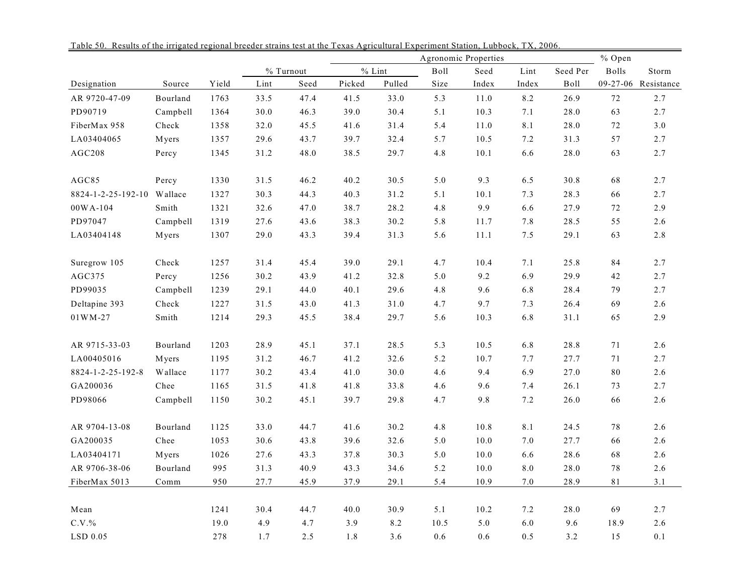|                    |               |       |           |      |          |        | Agronomic Properties |          |         |             | % Open   |                     |  |
|--------------------|---------------|-------|-----------|------|----------|--------|----------------------|----------|---------|-------------|----------|---------------------|--|
|                    |               |       | % Turnout |      | $%$ Lint |        | Boll                 | Seed     | Lint    | Seed Per    | Bolls    | Storm               |  |
| Designation        | Source        | Yield | Lint      | Seed | Picked   | Pulled | Size                 | Index    | Index   | <b>Boll</b> |          | 09-27-06 Resistance |  |
| AR 9720-47-09      | Bourland      | 1763  | 33.5      | 47.4 | 41.5     | 33.0   | 5.3                  | $11.0\,$ | 8.2     | 26.9        | 72       | 2.7                 |  |
| PD90719            | Campbell      | 1364  | 30.0      | 46.3 | 39.0     | 30.4   | 5.1                  | 10.3     | 7.1     | 28.0        | 63       | 2.7                 |  |
| FiberMax 958       | Check         | 1358  | 32.0      | 45.5 | 41.6     | 31.4   | 5.4                  | $11.0$   | $8.1\,$ | 28.0        | $72\,$   | 3.0                 |  |
| LA03404065         | Myers         | 1357  | 29.6      | 43.7 | 39.7     | 32.4   | 5.7                  | 10.5     | 7.2     | 31.3        | 57       | 2.7                 |  |
| AGC208             | Percy         | 1345  | 31.2      | 48.0 | 38.5     | 29.7   | 4.8                  | 10.1     | 6.6     | 28.0        | 63       | 2.7                 |  |
| AGC85              | Percy         | 1330  | 31.5      | 46.2 | 40.2     | 30.5   | $5.0\,$              | 9.3      | 6.5     | 30.8        | 68       | 2.7                 |  |
| 8824-1-2-25-192-10 | Wallace       | 1327  | 30.3      | 44.3 | 40.3     | 31.2   | 5.1                  | 10.1     | 7.3     | 28.3        | 66       | 2.7                 |  |
| $00WA-104$         | Smith         | 1321  | 32.6      | 47.0 | 38.7     | 28.2   | 4.8                  | 9.9      | 6.6     | 27.9        | $72\,$   | 2.9                 |  |
| PD97047            | Campbell      | 1319  | 27.6      | 43.6 | 38.3     | 30.2   | 5.8                  | 11.7     | $7.8\,$ | 28.5        | 55       | 2.6                 |  |
| LA03404148         | Myers         | 1307  | 29.0      | 43.3 | 39.4     | 31.3   | 5.6                  | $11.1\,$ | 7.5     | 29.1        | 63       | 2.8                 |  |
| Suregrow 105       | ${\rm Check}$ | 1257  | 31.4      | 45.4 | 39.0     | 29.1   | 4.7                  | 10.4     | 7.1     | 25.8        | $\bf 84$ | 2.7                 |  |
| AGC375             | Percy         | 1256  | 30.2      | 43.9 | 41.2     | 32.8   | $5.0\,$              | 9.2      | 6.9     | 29.9        | 42       | 2.7                 |  |
| PD99035            | Campbell      | 1239  | 29.1      | 44.0 | 40.1     | 29.6   | 4.8                  | 9.6      | 6.8     | 28.4        | 79       | 2.7                 |  |
| Deltapine 393      | Check         | 1227  | 31.5      | 43.0 | 41.3     | 31.0   | 4.7                  | 9.7      | 7.3     | 26.4        | 69       | 2.6                 |  |
| 01WM-27            | Smith         | 1214  | 29.3      | 45.5 | 38.4     | 29.7   | 5.6                  | 10.3     | 6.8     | 31.1        | 65       | 2.9                 |  |
| AR 9715-33-03      | Bourland      | 1203  | 28.9      | 45.1 | 37.1     | 28.5   | 5.3                  | 10.5     | 6.8     | 28.8        | $71\,$   | 2.6                 |  |
| LA00405016         | Myers         | 1195  | 31.2      | 46.7 | 41.2     | 32.6   | 5.2                  | 10.7     | 7.7     | 27.7        | $71\,$   | 2.7                 |  |
| 8824-1-2-25-192-8  | Wallace       | 1177  | 30.2      | 43.4 | 41.0     | 30.0   | 4.6                  | 9.4      | 6.9     | 27.0        | 80       | 2.6                 |  |
| GA200036           | Chee          | 1165  | 31.5      | 41.8 | 41.8     | 33.8   | 4.6                  | 9.6      | 7.4     | 26.1        | 73       | 2.7                 |  |
| PD98066            | Campbell      | 1150  | 30.2      | 45.1 | 39.7     | 29.8   | 4.7                  | 9.8      | 7.2     | 26.0        | 66       | 2.6                 |  |
| AR 9704-13-08      | Bourland      | 1125  | 33.0      | 44.7 | 41.6     | 30.2   | 4.8                  | 10.8     | 8.1     | 24.5        | 78       | 2.6                 |  |
| GA200035           | Chee          | 1053  | 30.6      | 43.8 | 39.6     | 32.6   | 5.0                  | $10.0$   | $7.0\,$ | 27.7        | 66       | $2.6\,$             |  |
| LA03404171         | Myers         | 1026  | 27.6      | 43.3 | 37.8     | 30.3   | 5.0                  | 10.0     | 6.6     | 28.6        | 68       | 2.6                 |  |
| AR 9706-38-06      | Bourland      | 995   | 31.3      | 40.9 | 43.3     | 34.6   | 5.2                  | 10.0     | $8.0\,$ | 28.0        | $7\,$    | 2.6                 |  |
| FiberMax 5013      | Comm          | 950   | 27.7      | 45.9 | 37.9     | 29.1   | 5.4                  | 10.9     | 7.0     | 28.9        | 81       | 3.1                 |  |
| Mean               |               | 1241  | 30.4      | 44.7 | 40.0     | 30.9   | 5.1                  | 10.2     | 7.2     | 28.0        | 69       | 2.7                 |  |
| $C.V.$ %           |               | 19.0  | 4.9       | 4.7  | 3.9      | 8.2    | 10.5                 | 5.0      | 6.0     | 9.6         | 18.9     | 2.6                 |  |
| LSD 0.05           |               | 278   | 1.7       | 2.5  | 1.8      | 3.6    | 0.6                  | 0.6      | 0.5     | 3.2         | 15       | 0.1                 |  |

Table 50. Results of the irrigated regional breeder strains test at the Texas Agricultural Experiment Station, Lubbock, TX, 2006.